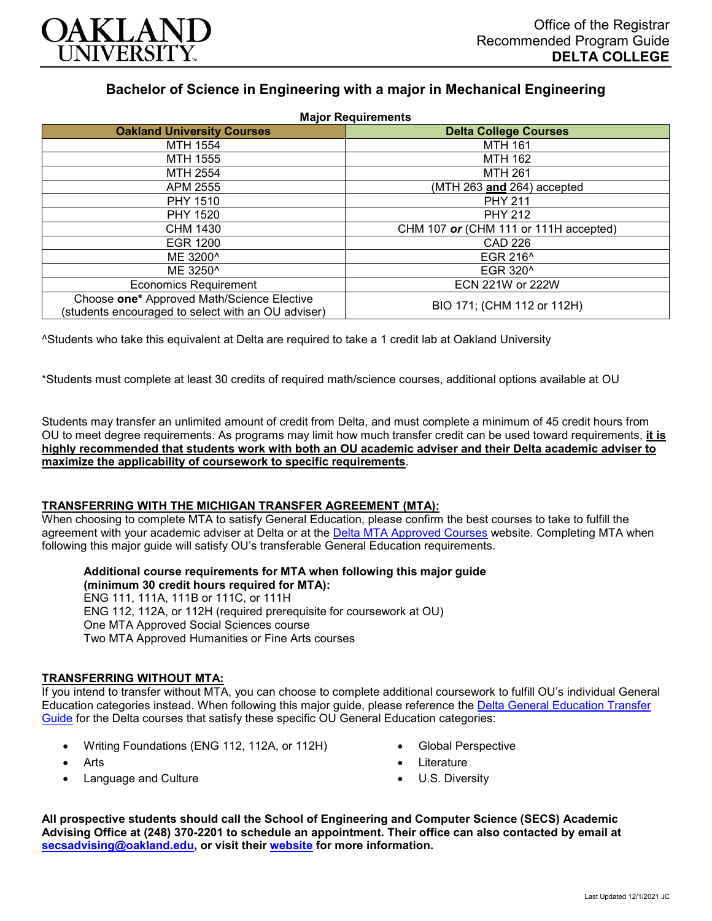

# **Bachelor of Science in Engineering with a major in Mechanical Engineering**

| <b>Major Requirements</b>                                                                        |                                       |
|--------------------------------------------------------------------------------------------------|---------------------------------------|
| <b>Oakland University Courses</b>                                                                | <b>Delta College Courses</b>          |
| MTH 1554                                                                                         | <b>MTH 161</b>                        |
| <b>MTH 1555</b>                                                                                  | MTH 162                               |
| MTH 2554                                                                                         | <b>MTH 261</b>                        |
| APM 2555                                                                                         | (MTH 263 and 264) accepted            |
| <b>PHY 1510</b>                                                                                  | <b>PHY 211</b>                        |
| <b>PHY 1520</b>                                                                                  | <b>PHY 212</b>                        |
| <b>CHM 1430</b>                                                                                  | CHM 107 or (CHM 111 or 111H accepted) |
| <b>EGR 1200</b>                                                                                  | <b>CAD 226</b>                        |
| ME 3200^                                                                                         | EGR 216 <sup>^</sup>                  |
| ME 3250 <sup>^</sup>                                                                             | EGR 320 <sup>^</sup>                  |
| <b>Economics Requirement</b>                                                                     | ECN 221W or 222W                      |
| Choose one* Approved Math/Science Elective<br>(students encouraged to select with an OU adviser) | BIO 171; (CHM 112 or 112H)            |

^Students who take this equivalent at Delta are required to take a 1 credit lab at Oakland University

\*Students must complete at least 30 credits of required math/science courses, additional options available at OU

Students may transfer an unlimited amount of credit from Delta, and must complete a minimum of 45 credit hours from OU to meet degree requirements. As programs may limit how much transfer credit can be used toward requirements, **it is highly recommended that students work with both an OU academic adviser and their Delta academic adviser to maximize the applicability of coursework to specific requirements**.

### **TRANSFERRING WITH THE MICHIGAN TRANSFER AGREEMENT (MTA):**

When choosing to complete MTA to satisfy General Education, please confirm the best courses to take to fulfill the agreement with your academic adviser at Delta or at the [Delta MTA Approved Courses](http://catalog.delta.edu/content.php?catoid=11&navoid=1451) website. Completing MTA when following this major guide will satisfy OU's transferable General Education requirements.

**Additional course requirements for MTA when following this major guide (minimum 30 credit hours required for MTA):**

ENG 111, 111A, 111B or 111C, or 111H ENG 112, 112A, or 112H (required prerequisite for coursework at OU) One MTA Approved Social Sciences course Two MTA Approved Humanities or Fine Arts courses

### **TRANSFERRING WITHOUT MTA:**

If you intend to transfer without MTA, you can choose to complete additional coursework to fulfill OU's individual General Education categories instead. When following this major guide, please reference the [Delta General Education Transfer](https://www.oakland.edu/Assets/Oakland/program-guides/delta-college/university-general-education-requirements/Delta%20Gen%20Ed.pdf)  [Guide](https://www.oakland.edu/Assets/Oakland/program-guides/delta-college/university-general-education-requirements/Delta%20Gen%20Ed.pdf) for the Delta courses that satisfy these specific OU General Education categories:

- Writing Foundations (ENG 112, 112A, or 112H)
- Arts
- Language and Culture
- Global Perspective
- **Literature**
- U.S. Diversity

**All prospective students should call the School of Engineering and Computer Science (SECS) Academic Advising Office at (248) 370-2201 to schedule an appointment. Their office can also contacted by email at [secsadvising@oakland.edu,](mailto:secsadvising@oakland.edu) or visit their [website](https://wwwp.oakland.edu/secs/advising/) for more information.**